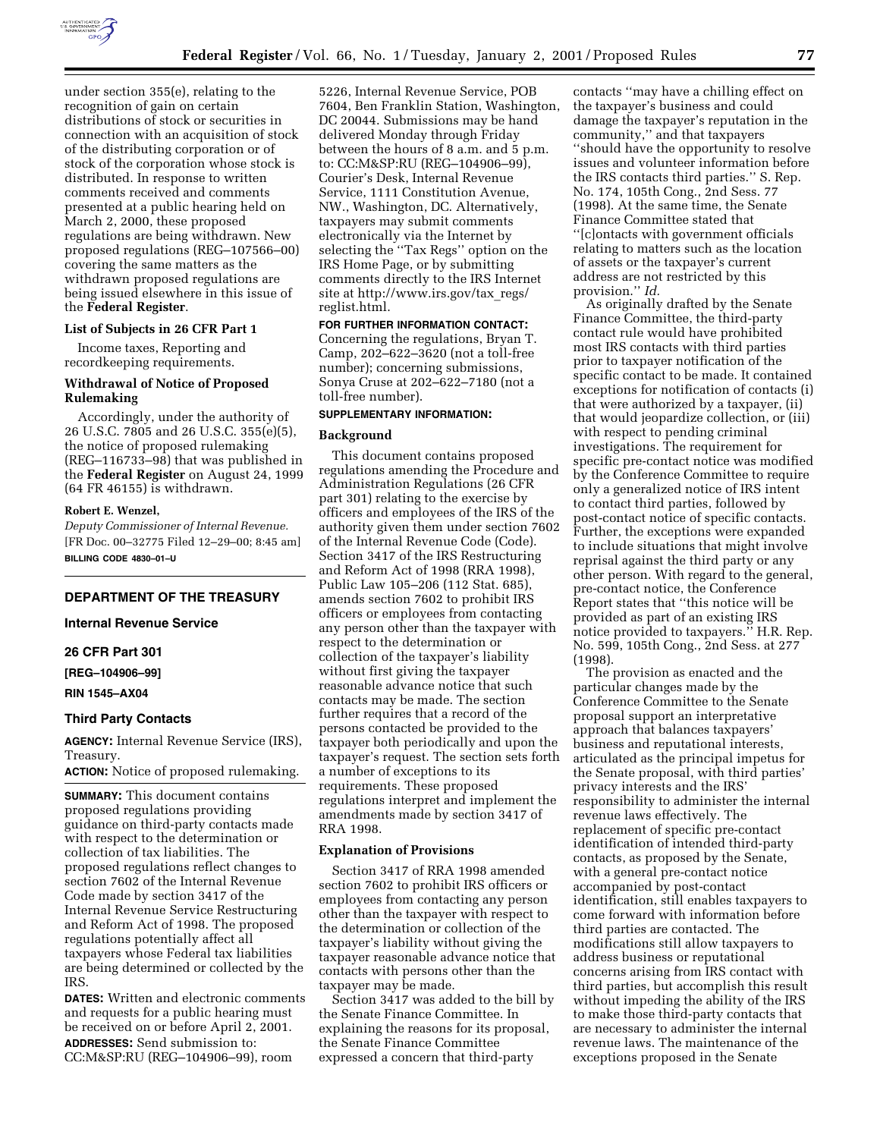

under section 355(e), relating to the recognition of gain on certain distributions of stock or securities in connection with an acquisition of stock of the distributing corporation or of stock of the corporation whose stock is distributed. In response to written comments received and comments presented at a public hearing held on March 2, 2000, these proposed regulations are being withdrawn. New proposed regulations (REG–107566–00) covering the same matters as the withdrawn proposed regulations are being issued elsewhere in this issue of the **Federal Register**.

### **List of Subjects in 26 CFR Part 1**

Income taxes, Reporting and recordkeeping requirements.

## **Withdrawal of Notice of Proposed Rulemaking**

Accordingly, under the authority of 26 U.S.C. 7805 and 26 U.S.C. 355(e)(5), the notice of proposed rulemaking (REG–116733–98) that was published in the **Federal Register** on August 24, 1999 (64 FR 46155) is withdrawn.

### **Robert E. Wenzel,**

*Deputy Commissioner of Internal Revenue.*  [FR Doc. 00–32775 Filed 12–29–00; 8:45 am] **BILLING CODE 4830–01–U** 

#### **DEPARTMENT OF THE TREASURY**

## **Internal Revenue Service**

### **26 CFR Part 301**

**[REG–104906–99]** 

## **RIN 1545–AX04**

#### **Third Party Contacts**

**AGENCY:** Internal Revenue Service (IRS), Treasury.

**ACTION:** Notice of proposed rulemaking.

**SUMMARY:** This document contains proposed regulations providing guidance on third-party contacts made with respect to the determination or collection of tax liabilities. The proposed regulations reflect changes to section 7602 of the Internal Revenue Code made by section 3417 of the Internal Revenue Service Restructuring and Reform Act of 1998. The proposed regulations potentially affect all taxpayers whose Federal tax liabilities are being determined or collected by the IRS.

**DATES:** Written and electronic comments and requests for a public hearing must be received on or before April 2, 2001. **ADDRESSES:** Send submission to: CC:M&SP:RU (REG–104906–99), room

5226, Internal Revenue Service, POB 7604, Ben Franklin Station, Washington, DC 20044. Submissions may be hand delivered Monday through Friday between the hours of 8 a.m. and 5 p.m. to: CC:M&SP:RU (REG–104906–99), Courier's Desk, Internal Revenue Service, 1111 Constitution Avenue, NW., Washington, DC. Alternatively, taxpayers may submit comments electronically via the Internet by selecting the ''Tax Regs'' option on the IRS Home Page, or by submitting comments directly to the IRS Internet site at http://www.irs.gov/tax\_regs/ reglist.html.

#### **FOR FURTHER INFORMATION CONTACT:**

Concerning the regulations, Bryan T. Camp, 202–622–3620 (not a toll-free number); concerning submissions, Sonya Cruse at 202–622–7180 (not a toll-free number).

### **SUPPLEMENTARY INFORMATION:**

### **Background**

This document contains proposed regulations amending the Procedure and Administration Regulations (26 CFR part 301) relating to the exercise by officers and employees of the IRS of the authority given them under section 7602 of the Internal Revenue Code (Code). Section 3417 of the IRS Restructuring and Reform Act of 1998 (RRA 1998), Public Law 105–206 (112 Stat. 685), amends section 7602 to prohibit IRS officers or employees from contacting any person other than the taxpayer with respect to the determination or collection of the taxpayer's liability without first giving the taxpayer reasonable advance notice that such contacts may be made. The section further requires that a record of the persons contacted be provided to the taxpayer both periodically and upon the taxpayer's request. The section sets forth a number of exceptions to its requirements. These proposed regulations interpret and implement the amendments made by section 3417 of RRA 1998.

# **Explanation of Provisions**

Section 3417 of RRA 1998 amended section 7602 to prohibit IRS officers or employees from contacting any person other than the taxpayer with respect to the determination or collection of the taxpayer's liability without giving the taxpayer reasonable advance notice that contacts with persons other than the taxpayer may be made.

Section 3417 was added to the bill by the Senate Finance Committee. In explaining the reasons for its proposal, the Senate Finance Committee expressed a concern that third-party

contacts ''may have a chilling effect on the taxpayer's business and could damage the taxpayer's reputation in the community,'' and that taxpayers ''should have the opportunity to resolve issues and volunteer information before the IRS contacts third parties.'' S. Rep. No. 174, 105th Cong., 2nd Sess. 77 (1998). At the same time, the Senate Finance Committee stated that ''[c]ontacts with government officials relating to matters such as the location of assets or the taxpayer's current address are not restricted by this provision.'' *Id.* 

As originally drafted by the Senate Finance Committee, the third-party contact rule would have prohibited most IRS contacts with third parties prior to taxpayer notification of the specific contact to be made. It contained exceptions for notification of contacts (i) that were authorized by a taxpayer, (ii) that would jeopardize collection, or (iii) with respect to pending criminal investigations. The requirement for specific pre-contact notice was modified by the Conference Committee to require only a generalized notice of IRS intent to contact third parties, followed by post-contact notice of specific contacts. Further, the exceptions were expanded to include situations that might involve reprisal against the third party or any other person. With regard to the general, pre-contact notice, the Conference Report states that ''this notice will be provided as part of an existing IRS notice provided to taxpayers.'' H.R. Rep. No. 599, 105th Cong., 2nd Sess. at 277 (1998).

The provision as enacted and the particular changes made by the Conference Committee to the Senate proposal support an interpretative approach that balances taxpayers' business and reputational interests, articulated as the principal impetus for the Senate proposal, with third parties' privacy interests and the IRS' responsibility to administer the internal revenue laws effectively. The replacement of specific pre-contact identification of intended third-party contacts, as proposed by the Senate, with a general pre-contact notice accompanied by post-contact identification, still enables taxpayers to come forward with information before third parties are contacted. The modifications still allow taxpayers to address business or reputational concerns arising from IRS contact with third parties, but accomplish this result without impeding the ability of the IRS to make those third-party contacts that are necessary to administer the internal revenue laws. The maintenance of the exceptions proposed in the Senate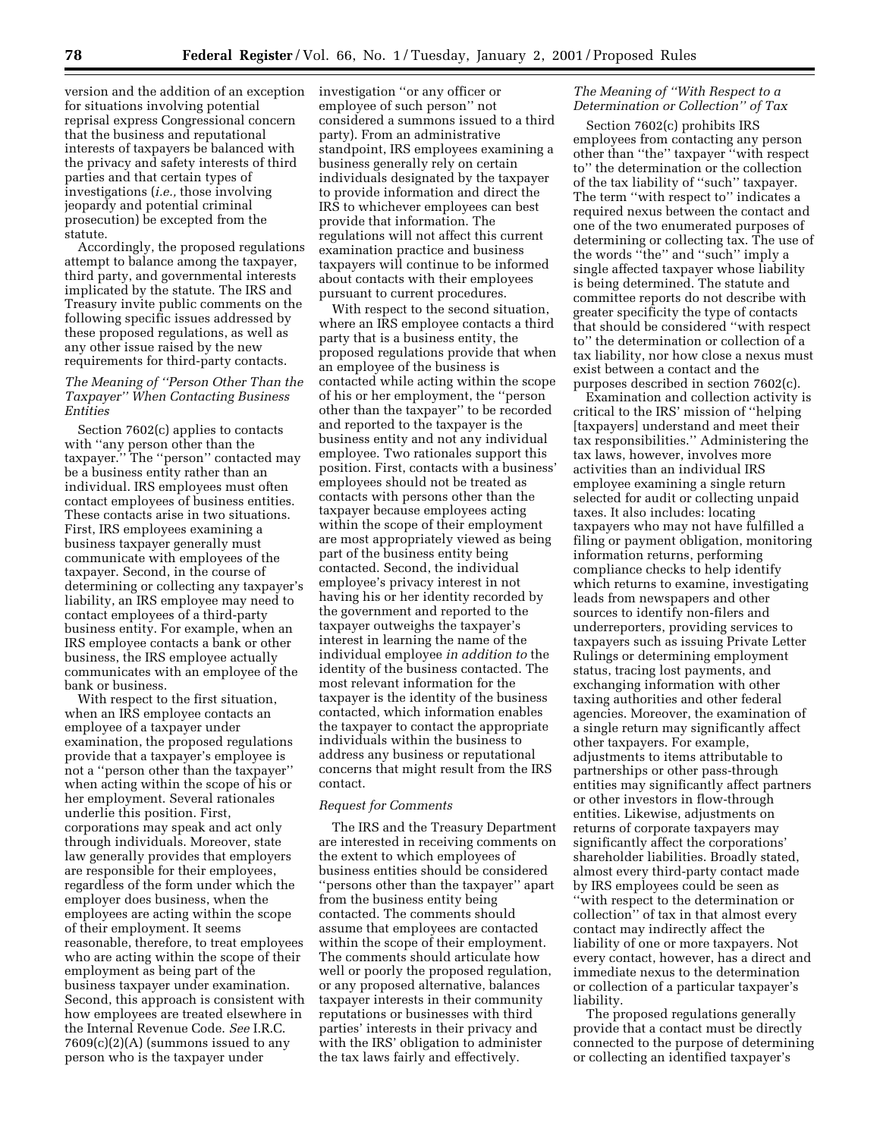version and the addition of an exception for situations involving potential reprisal express Congressional concern that the business and reputational interests of taxpayers be balanced with the privacy and safety interests of third parties and that certain types of investigations (*i.e.,* those involving jeopardy and potential criminal prosecution) be excepted from the statute.

Accordingly, the proposed regulations attempt to balance among the taxpayer, third party, and governmental interests implicated by the statute. The IRS and Treasury invite public comments on the following specific issues addressed by these proposed regulations, as well as any other issue raised by the new requirements for third-party contacts.

### *The Meaning of ''Person Other Than the Taxpayer'' When Contacting Business Entities*

Section 7602(c) applies to contacts with ''any person other than the taxpayer.'' The ''person'' contacted may be a business entity rather than an individual. IRS employees must often contact employees of business entities. These contacts arise in two situations. First, IRS employees examining a business taxpayer generally must communicate with employees of the taxpayer. Second, in the course of determining or collecting any taxpayer's liability, an IRS employee may need to contact employees of a third-party business entity. For example, when an IRS employee contacts a bank or other business, the IRS employee actually communicates with an employee of the bank or business.

With respect to the first situation, when an IRS employee contacts an employee of a taxpayer under examination, the proposed regulations provide that a taxpayer's employee is not a ''person other than the taxpayer'' when acting within the scope of his or her employment. Several rationales underlie this position. First, corporations may speak and act only through individuals. Moreover, state law generally provides that employers are responsible for their employees, regardless of the form under which the employer does business, when the employees are acting within the scope of their employment. It seems reasonable, therefore, to treat employees who are acting within the scope of their employment as being part of the business taxpayer under examination. Second, this approach is consistent with how employees are treated elsewhere in the Internal Revenue Code. *See* I.R.C.  $7609(c)(2)(A)$  (summons issued to any person who is the taxpayer under

investigation ''or any officer or employee of such person'' not considered a summons issued to a third party). From an administrative standpoint, IRS employees examining a business generally rely on certain individuals designated by the taxpayer to provide information and direct the IRS to whichever employees can best provide that information. The regulations will not affect this current examination practice and business taxpayers will continue to be informed about contacts with their employees pursuant to current procedures.

With respect to the second situation, where an IRS employee contacts a third party that is a business entity, the proposed regulations provide that when an employee of the business is contacted while acting within the scope of his or her employment, the ''person other than the taxpayer'' to be recorded and reported to the taxpayer is the business entity and not any individual employee. Two rationales support this position. First, contacts with a business' employees should not be treated as contacts with persons other than the taxpayer because employees acting within the scope of their employment are most appropriately viewed as being part of the business entity being contacted. Second, the individual employee's privacy interest in not having his or her identity recorded by the government and reported to the taxpayer outweighs the taxpayer's interest in learning the name of the individual employee *in addition to* the identity of the business contacted. The most relevant information for the taxpayer is the identity of the business contacted, which information enables the taxpayer to contact the appropriate individuals within the business to address any business or reputational concerns that might result from the IRS contact.

### *Request for Comments*

The IRS and the Treasury Department are interested in receiving comments on the extent to which employees of business entities should be considered ''persons other than the taxpayer'' apart from the business entity being contacted. The comments should assume that employees are contacted within the scope of their employment. The comments should articulate how well or poorly the proposed regulation, or any proposed alternative, balances taxpayer interests in their community reputations or businesses with third parties' interests in their privacy and with the IRS' obligation to administer the tax laws fairly and effectively.

# *The Meaning of ''With Respect to a Determination or Collection'' of Tax*

Section 7602(c) prohibits IRS employees from contacting any person other than ''the'' taxpayer ''with respect to'' the determination or the collection of the tax liability of ''such'' taxpayer. The term ''with respect to'' indicates a required nexus between the contact and one of the two enumerated purposes of determining or collecting tax. The use of the words ''the'' and ''such'' imply a single affected taxpayer whose liability is being determined. The statute and committee reports do not describe with greater specificity the type of contacts that should be considered ''with respect to'' the determination or collection of a tax liability, nor how close a nexus must exist between a contact and the purposes described in section 7602(c).

Examination and collection activity is critical to the IRS' mission of ''helping [taxpayers] understand and meet their tax responsibilities.'' Administering the tax laws, however, involves more activities than an individual IRS employee examining a single return selected for audit or collecting unpaid taxes. It also includes: locating taxpayers who may not have fulfilled a filing or payment obligation, monitoring information returns, performing compliance checks to help identify which returns to examine, investigating leads from newspapers and other sources to identify non-filers and underreporters, providing services to taxpayers such as issuing Private Letter Rulings or determining employment status, tracing lost payments, and exchanging information with other taxing authorities and other federal agencies. Moreover, the examination of a single return may significantly affect other taxpayers. For example, adjustments to items attributable to partnerships or other pass-through entities may significantly affect partners or other investors in flow-through entities. Likewise, adjustments on returns of corporate taxpayers may significantly affect the corporations' shareholder liabilities. Broadly stated, almost every third-party contact made by IRS employees could be seen as ''with respect to the determination or collection'' of tax in that almost every contact may indirectly affect the liability of one or more taxpayers. Not every contact, however, has a direct and immediate nexus to the determination or collection of a particular taxpayer's liability.

The proposed regulations generally provide that a contact must be directly connected to the purpose of determining or collecting an identified taxpayer's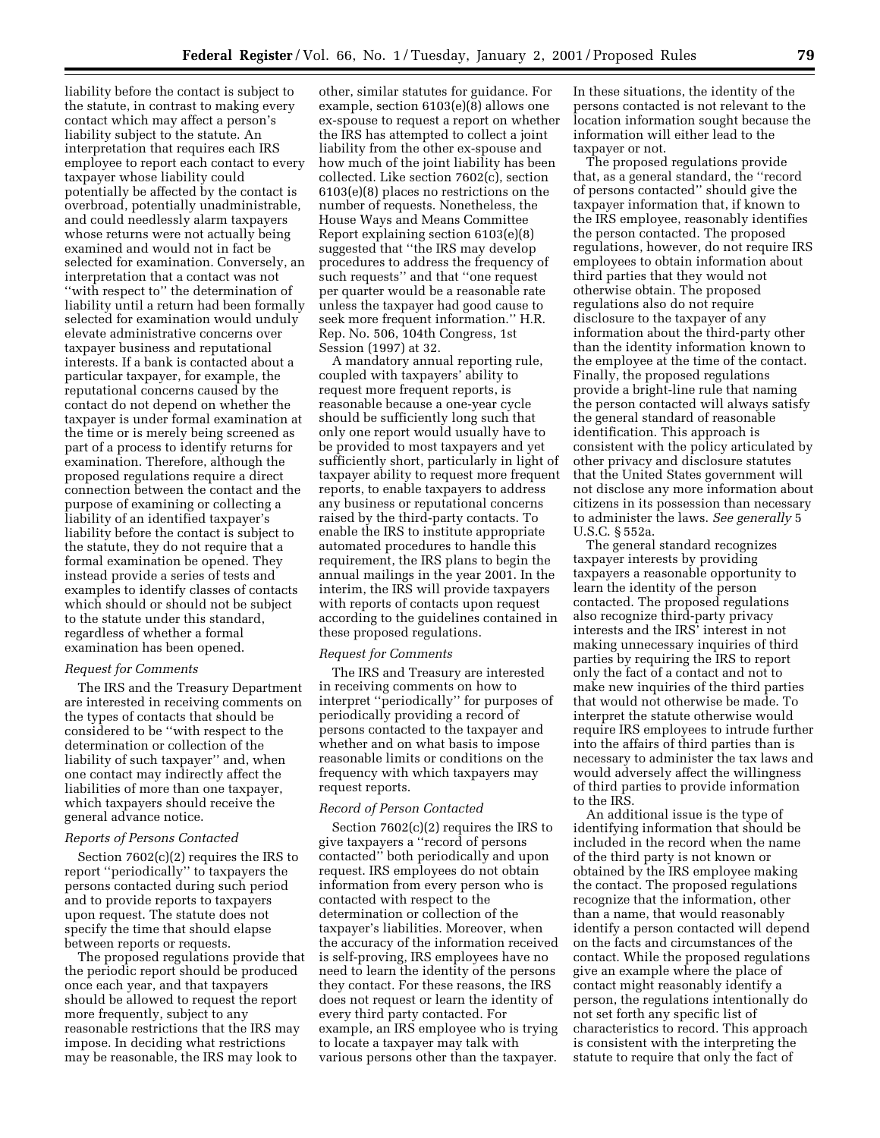liability before the contact is subject to the statute, in contrast to making every contact which may affect a person's liability subject to the statute. An interpretation that requires each IRS employee to report each contact to every taxpayer whose liability could potentially be affected by the contact is overbroad, potentially unadministrable, and could needlessly alarm taxpayers whose returns were not actually being examined and would not in fact be selected for examination. Conversely, an interpretation that a contact was not ''with respect to'' the determination of liability until a return had been formally selected for examination would unduly elevate administrative concerns over taxpayer business and reputational interests. If a bank is contacted about a particular taxpayer, for example, the reputational concerns caused by the contact do not depend on whether the taxpayer is under formal examination at the time or is merely being screened as part of a process to identify returns for examination. Therefore, although the proposed regulations require a direct connection between the contact and the purpose of examining or collecting a liability of an identified taxpayer's liability before the contact is subject to the statute, they do not require that a formal examination be opened. They instead provide a series of tests and examples to identify classes of contacts which should or should not be subject to the statute under this standard, regardless of whether a formal examination has been opened.

#### *Request for Comments*

The IRS and the Treasury Department are interested in receiving comments on the types of contacts that should be considered to be ''with respect to the determination or collection of the liability of such taxpayer'' and, when one contact may indirectly affect the liabilities of more than one taxpayer, which taxpayers should receive the general advance notice.

### *Reports of Persons Contacted*

Section 7602(c)(2) requires the IRS to report ''periodically'' to taxpayers the persons contacted during such period and to provide reports to taxpayers upon request. The statute does not specify the time that should elapse between reports or requests.

The proposed regulations provide that the periodic report should be produced once each year, and that taxpayers should be allowed to request the report more frequently, subject to any reasonable restrictions that the IRS may impose. In deciding what restrictions may be reasonable, the IRS may look to

other, similar statutes for guidance. For example, section 6103(e)(8) allows one ex-spouse to request a report on whether the IRS has attempted to collect a joint liability from the other ex-spouse and how much of the joint liability has been collected. Like section 7602(c), section 6103(e)(8) places no restrictions on the number of requests. Nonetheless, the House Ways and Means Committee Report explaining section 6103(e)(8) suggested that ''the IRS may develop procedures to address the frequency of such requests'' and that ''one request per quarter would be a reasonable rate unless the taxpayer had good cause to seek more frequent information.'' H.R. Rep. No. 506, 104th Congress, 1st Session (1997) at 32.

A mandatory annual reporting rule, coupled with taxpayers' ability to request more frequent reports, is reasonable because a one-year cycle should be sufficiently long such that only one report would usually have to be provided to most taxpayers and yet sufficiently short, particularly in light of taxpayer ability to request more frequent reports, to enable taxpayers to address any business or reputational concerns raised by the third-party contacts. To enable the IRS to institute appropriate automated procedures to handle this requirement, the IRS plans to begin the annual mailings in the year 2001. In the interim, the IRS will provide taxpayers with reports of contacts upon request according to the guidelines contained in these proposed regulations.

### *Request for Comments*

The IRS and Treasury are interested in receiving comments on how to interpret ''periodically'' for purposes of periodically providing a record of persons contacted to the taxpayer and whether and on what basis to impose reasonable limits or conditions on the frequency with which taxpayers may request reports.

#### *Record of Person Contacted*

Section 7602(c)(2) requires the IRS to give taxpayers a ''record of persons contacted'' both periodically and upon request. IRS employees do not obtain information from every person who is contacted with respect to the determination or collection of the taxpayer's liabilities. Moreover, when the accuracy of the information received is self-proving, IRS employees have no need to learn the identity of the persons they contact. For these reasons, the IRS does not request or learn the identity of every third party contacted. For example, an IRS employee who is trying to locate a taxpayer may talk with various persons other than the taxpayer.

In these situations, the identity of the persons contacted is not relevant to the location information sought because the information will either lead to the taxpayer or not.

The proposed regulations provide that, as a general standard, the ''record of persons contacted'' should give the taxpayer information that, if known to the IRS employee, reasonably identifies the person contacted. The proposed regulations, however, do not require IRS employees to obtain information about third parties that they would not otherwise obtain. The proposed regulations also do not require disclosure to the taxpayer of any information about the third-party other than the identity information known to the employee at the time of the contact. Finally, the proposed regulations provide a bright-line rule that naming the person contacted will always satisfy the general standard of reasonable identification. This approach is consistent with the policy articulated by other privacy and disclosure statutes that the United States government will not disclose any more information about citizens in its possession than necessary to administer the laws. *See generally* 5 U.S.C. § 552a.

The general standard recognizes taxpayer interests by providing taxpayers a reasonable opportunity to learn the identity of the person contacted. The proposed regulations also recognize third-party privacy interests and the IRS' interest in not making unnecessary inquiries of third parties by requiring the IRS to report only the fact of a contact and not to make new inquiries of the third parties that would not otherwise be made. To interpret the statute otherwise would require IRS employees to intrude further into the affairs of third parties than is necessary to administer the tax laws and would adversely affect the willingness of third parties to provide information to the IRS.

An additional issue is the type of identifying information that should be included in the record when the name of the third party is not known or obtained by the IRS employee making the contact. The proposed regulations recognize that the information, other than a name, that would reasonably identify a person contacted will depend on the facts and circumstances of the contact. While the proposed regulations give an example where the place of contact might reasonably identify a person, the regulations intentionally do not set forth any specific list of characteristics to record. This approach is consistent with the interpreting the statute to require that only the fact of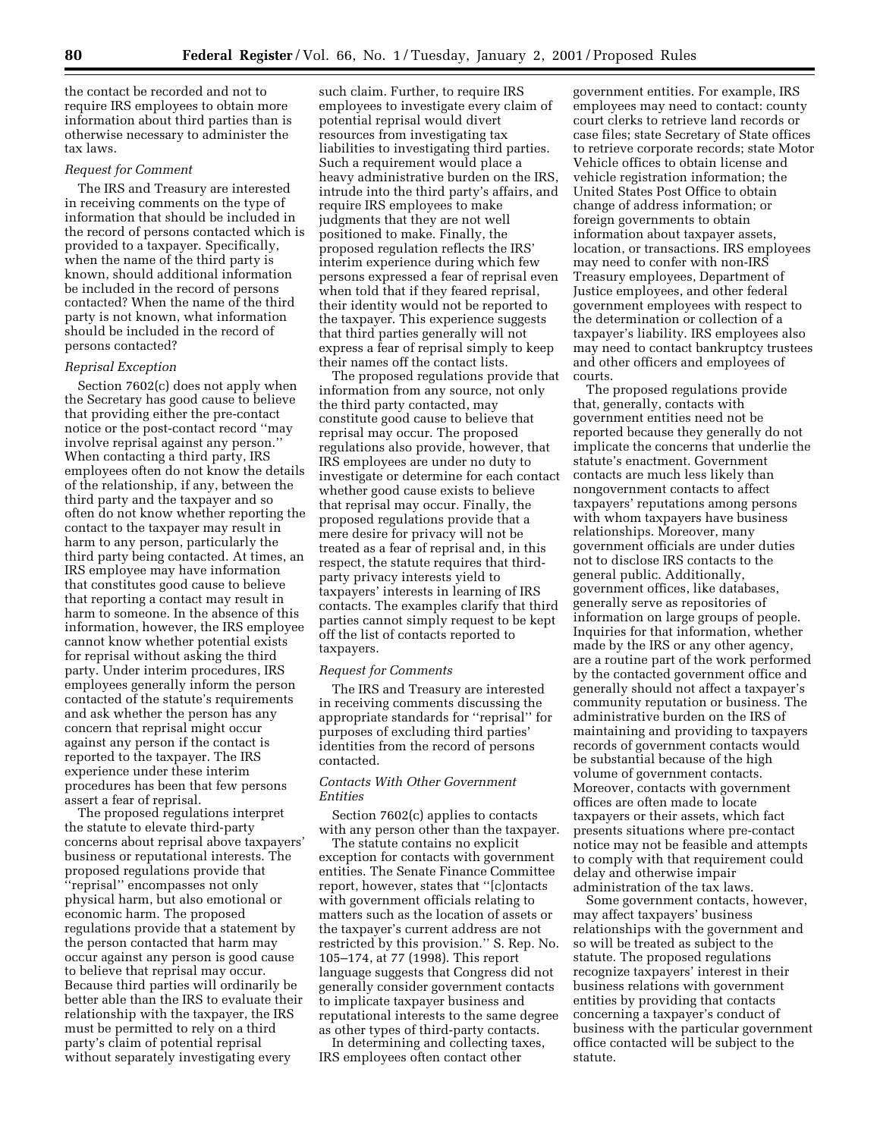the contact be recorded and not to require IRS employees to obtain more information about third parties than is otherwise necessary to administer the tax laws.

### *Request for Comment*

The IRS and Treasury are interested in receiving comments on the type of information that should be included in the record of persons contacted which is provided to a taxpayer. Specifically, when the name of the third party is known, should additional information be included in the record of persons contacted? When the name of the third party is not known, what information should be included in the record of persons contacted?

### *Reprisal Exception*

Section 7602(c) does not apply when the Secretary has good cause to believe that providing either the pre-contact notice or the post-contact record ''may involve reprisal against any person.'' When contacting a third party, IRS employees often do not know the details of the relationship, if any, between the third party and the taxpayer and so often do not know whether reporting the contact to the taxpayer may result in harm to any person, particularly the third party being contacted. At times, an IRS employee may have information that constitutes good cause to believe that reporting a contact may result in harm to someone. In the absence of this information, however, the IRS employee cannot know whether potential exists for reprisal without asking the third party. Under interim procedures, IRS employees generally inform the person contacted of the statute's requirements and ask whether the person has any concern that reprisal might occur against any person if the contact is reported to the taxpayer. The IRS experience under these interim procedures has been that few persons assert a fear of reprisal.

The proposed regulations interpret the statute to elevate third-party concerns about reprisal above taxpayers' business or reputational interests. The proposed regulations provide that ''reprisal'' encompasses not only physical harm, but also emotional or economic harm. The proposed regulations provide that a statement by the person contacted that harm may occur against any person is good cause to believe that reprisal may occur. Because third parties will ordinarily be better able than the IRS to evaluate their relationship with the taxpayer, the IRS must be permitted to rely on a third party's claim of potential reprisal without separately investigating every

such claim. Further, to require IRS employees to investigate every claim of potential reprisal would divert resources from investigating tax liabilities to investigating third parties. Such a requirement would place a heavy administrative burden on the IRS, intrude into the third party's affairs, and require IRS employees to make judgments that they are not well positioned to make. Finally, the proposed regulation reflects the IRS' interim experience during which few persons expressed a fear of reprisal even when told that if they feared reprisal, their identity would not be reported to the taxpayer. This experience suggests that third parties generally will not express a fear of reprisal simply to keep their names off the contact lists.

The proposed regulations provide that information from any source, not only the third party contacted, may constitute good cause to believe that reprisal may occur. The proposed regulations also provide, however, that IRS employees are under no duty to investigate or determine for each contact whether good cause exists to believe that reprisal may occur. Finally, the proposed regulations provide that a mere desire for privacy will not be treated as a fear of reprisal and, in this respect, the statute requires that thirdparty privacy interests yield to taxpayers' interests in learning of IRS contacts. The examples clarify that third parties cannot simply request to be kept off the list of contacts reported to taxpayers.

### *Request for Comments*

The IRS and Treasury are interested in receiving comments discussing the appropriate standards for ''reprisal'' for purposes of excluding third parties' identities from the record of persons contacted.

# *Contacts With Other Government Entities*

Section 7602(c) applies to contacts with any person other than the taxpayer.

The statute contains no explicit exception for contacts with government entities. The Senate Finance Committee report, however, states that ''[c]ontacts with government officials relating to matters such as the location of assets or the taxpayer's current address are not restricted by this provision.'' S. Rep. No. 105–174, at 77 (1998). This report language suggests that Congress did not generally consider government contacts to implicate taxpayer business and reputational interests to the same degree as other types of third-party contacts.

In determining and collecting taxes, IRS employees often contact other

government entities. For example, IRS employees may need to contact: county court clerks to retrieve land records or case files; state Secretary of State offices to retrieve corporate records; state Motor Vehicle offices to obtain license and vehicle registration information; the United States Post Office to obtain change of address information; or foreign governments to obtain information about taxpayer assets, location, or transactions. IRS employees may need to confer with non-IRS Treasury employees, Department of Justice employees, and other federal government employees with respect to the determination or collection of a taxpayer's liability. IRS employees also may need to contact bankruptcy trustees and other officers and employees of courts.

The proposed regulations provide that, generally, contacts with government entities need not be reported because they generally do not implicate the concerns that underlie the statute's enactment. Government contacts are much less likely than nongovernment contacts to affect taxpayers' reputations among persons with whom taxpayers have business relationships. Moreover, many government officials are under duties not to disclose IRS contacts to the general public. Additionally, government offices, like databases, generally serve as repositories of information on large groups of people. Inquiries for that information, whether made by the IRS or any other agency, are a routine part of the work performed by the contacted government office and generally should not affect a taxpayer's community reputation or business. The administrative burden on the IRS of maintaining and providing to taxpayers records of government contacts would be substantial because of the high volume of government contacts. Moreover, contacts with government offices are often made to locate taxpayers or their assets, which fact presents situations where pre-contact notice may not be feasible and attempts to comply with that requirement could delay and otherwise impair administration of the tax laws.

Some government contacts, however, may affect taxpayers' business relationships with the government and so will be treated as subject to the statute. The proposed regulations recognize taxpayers' interest in their business relations with government entities by providing that contacts concerning a taxpayer's conduct of business with the particular government office contacted will be subject to the statute.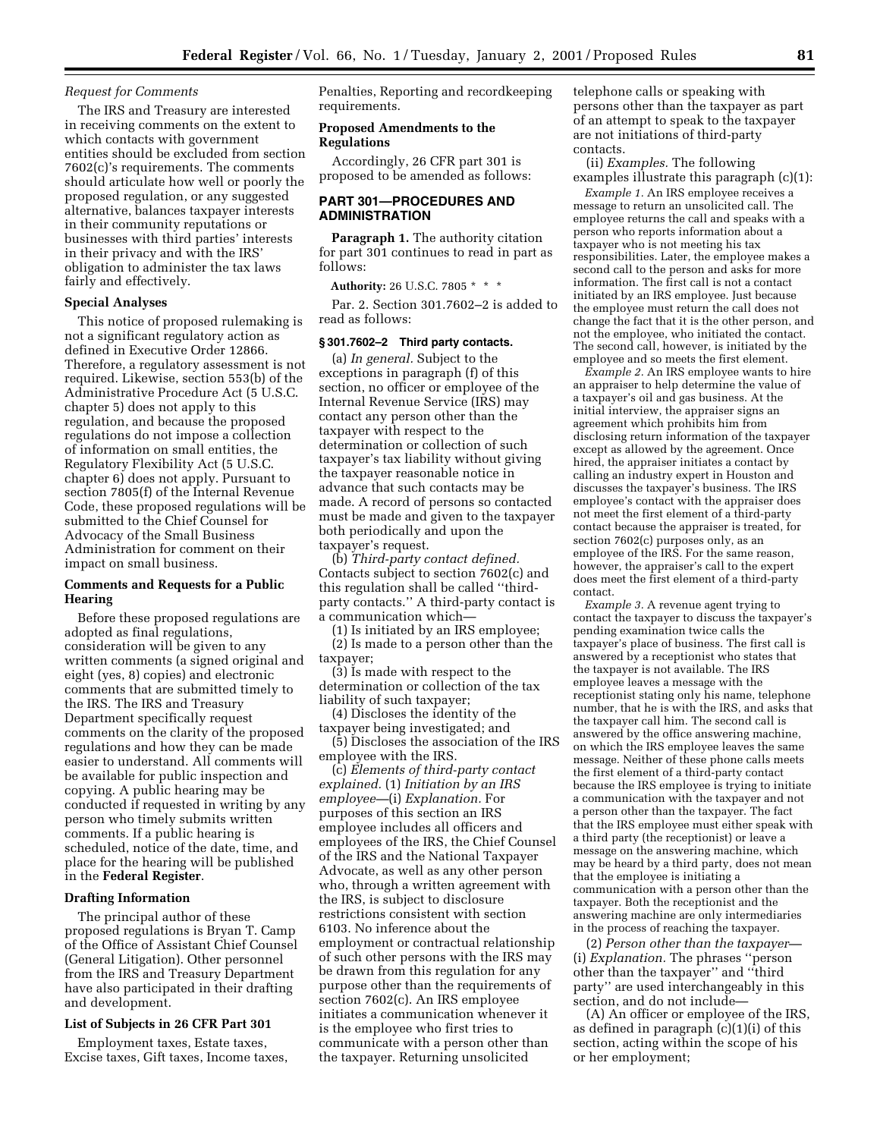### *Request for Comments*

The IRS and Treasury are interested in receiving comments on the extent to which contacts with government entities should be excluded from section 7602(c)'s requirements. The comments should articulate how well or poorly the proposed regulation, or any suggested alternative, balances taxpayer interests in their community reputations or businesses with third parties' interests in their privacy and with the IRS' obligation to administer the tax laws fairly and effectively.

#### **Special Analyses**

This notice of proposed rulemaking is not a significant regulatory action as defined in Executive Order 12866. Therefore, a regulatory assessment is not required. Likewise, section 553(b) of the Administrative Procedure Act (5 U.S.C. chapter 5) does not apply to this regulation, and because the proposed regulations do not impose a collection of information on small entities, the Regulatory Flexibility Act (5 U.S.C. chapter 6) does not apply. Pursuant to section 7805(f) of the Internal Revenue Code, these proposed regulations will be submitted to the Chief Counsel for Advocacy of the Small Business Administration for comment on their impact on small business.

# **Comments and Requests for a Public Hearing**

Before these proposed regulations are adopted as final regulations, consideration will be given to any written comments (a signed original and eight (yes, 8) copies) and electronic comments that are submitted timely to the IRS. The IRS and Treasury Department specifically request comments on the clarity of the proposed regulations and how they can be made easier to understand. All comments will be available for public inspection and copying. A public hearing may be conducted if requested in writing by any person who timely submits written comments. If a public hearing is scheduled, notice of the date, time, and place for the hearing will be published in the **Federal Register**.

### **Drafting Information**

The principal author of these proposed regulations is Bryan T. Camp of the Office of Assistant Chief Counsel (General Litigation). Other personnel from the IRS and Treasury Department have also participated in their drafting and development.

### **List of Subjects in 26 CFR Part 301**

Employment taxes, Estate taxes, Excise taxes, Gift taxes, Income taxes, Penalties, Reporting and recordkeeping requirements.

## **Proposed Amendments to the Regulations**

Accordingly, 26 CFR part 301 is proposed to be amended as follows:

# **PART 301—PROCEDURES AND ADMINISTRATION**

**Paragraph 1.** The authority citation for part 301 continues to read in part as follows:

**Authority:** 26 U.S.C. 7805 \* \* \*

Par. 2. Section 301.7602–2 is added to read as follows:

#### **§ 301.7602–2 Third party contacts.**

(a) *In general.* Subject to the exceptions in paragraph (f) of this section, no officer or employee of the Internal Revenue Service (IRS) may contact any person other than the taxpayer with respect to the determination or collection of such taxpayer's tax liability without giving the taxpayer reasonable notice in advance that such contacts may be made. A record of persons so contacted must be made and given to the taxpayer both periodically and upon the taxpayer's request.

(b) *Third-party contact defined.*  Contacts subject to section 7602(c) and this regulation shall be called ''thirdparty contacts.'' A third-party contact is a communication which—

(1) Is initiated by an IRS employee; (2) Is made to a person other than the taxpayer;

(3) Is made with respect to the determination or collection of the tax liability of such taxpayer;

(4) Discloses the identity of the taxpayer being investigated; and

(5) Discloses the association of the IRS employee with the IRS.

(c) *Elements of third-party contact explained.* (1) *Initiation by an IRS employee—*(i) *Explanation.* For purposes of this section an IRS employee includes all officers and employees of the IRS, the Chief Counsel of the IRS and the National Taxpayer Advocate, as well as any other person who, through a written agreement with the IRS, is subject to disclosure restrictions consistent with section 6103. No inference about the employment or contractual relationship of such other persons with the IRS may be drawn from this regulation for any purpose other than the requirements of section 7602(c). An IRS employee initiates a communication whenever it is the employee who first tries to communicate with a person other than the taxpayer. Returning unsolicited

telephone calls or speaking with persons other than the taxpayer as part of an attempt to speak to the taxpayer are not initiations of third-party contacts.

(ii) *Examples.* The following examples illustrate this paragraph (c)(1):

*Example 1.* An IRS employee receives a message to return an unsolicited call. The employee returns the call and speaks with a person who reports information about a taxpayer who is not meeting his tax responsibilities. Later, the employee makes a second call to the person and asks for more information. The first call is not a contact initiated by an IRS employee. Just because the employee must return the call does not change the fact that it is the other person, and not the employee, who initiated the contact. The second call, however, is initiated by the employee and so meets the first element.

*Example 2.* An IRS employee wants to hire an appraiser to help determine the value of a taxpayer's oil and gas business. At the initial interview, the appraiser signs an agreement which prohibits him from disclosing return information of the taxpayer except as allowed by the agreement. Once hired, the appraiser initiates a contact by calling an industry expert in Houston and discusses the taxpayer's business. The IRS employee's contact with the appraiser does not meet the first element of a third-party contact because the appraiser is treated, for section 7602(c) purposes only, as an employee of the IRS. For the same reason, however, the appraiser's call to the expert does meet the first element of a third-party contact.

*Example 3.* A revenue agent trying to contact the taxpayer to discuss the taxpayer's pending examination twice calls the taxpayer's place of business. The first call is answered by a receptionist who states that the taxpayer is not available. The IRS employee leaves a message with the receptionist stating only his name, telephone number, that he is with the IRS, and asks that the taxpayer call him. The second call is answered by the office answering machine, on which the IRS employee leaves the same message. Neither of these phone calls meets the first element of a third-party contact because the IRS employee is trying to initiate a communication with the taxpayer and not a person other than the taxpayer. The fact that the IRS employee must either speak with a third party (the receptionist) or leave a message on the answering machine, which may be heard by a third party, does not mean that the employee is initiating a communication with a person other than the taxpayer. Both the receptionist and the answering machine are only intermediaries in the process of reaching the taxpayer.

(2) *Person other than the taxpayer—*  (i) *Explanation.* The phrases ''person other than the taxpayer'' and ''third party'' are used interchangeably in this section, and do not include—

(A) An officer or employee of the IRS, as defined in paragraph (c)(1)(i) of this section, acting within the scope of his or her employment;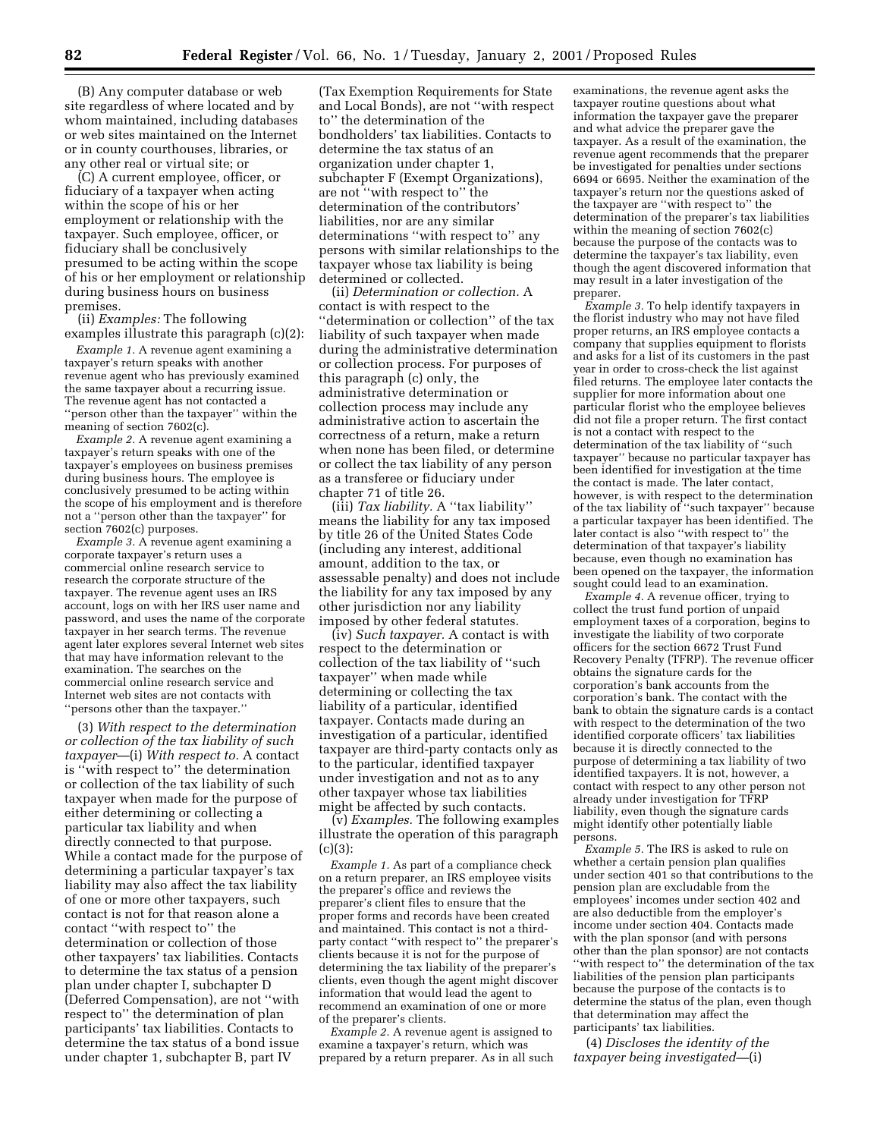(B) Any computer database or web site regardless of where located and by whom maintained, including databases or web sites maintained on the Internet or in county courthouses, libraries, or any other real or virtual site; or

(C) A current employee, officer, or fiduciary of a taxpayer when acting within the scope of his or her employment or relationship with the taxpayer. Such employee, officer, or fiduciary shall be conclusively presumed to be acting within the scope of his or her employment or relationship during business hours on business premises.

(ii) *Examples:* The following examples illustrate this paragraph (c)(2):

*Example 1.* A revenue agent examining a taxpayer's return speaks with another revenue agent who has previously examined the same taxpayer about a recurring issue. The revenue agent has not contacted a ''person other than the taxpayer'' within the meaning of section 7602(c).

*Example 2.* A revenue agent examining a taxpayer's return speaks with one of the taxpayer's employees on business premises during business hours. The employee is conclusively presumed to be acting within the scope of his employment and is therefore not a ''person other than the taxpayer'' for section 7602(c) purposes.

*Example 3.* A revenue agent examining a corporate taxpayer's return uses a commercial online research service to research the corporate structure of the taxpayer. The revenue agent uses an IRS account, logs on with her IRS user name and password, and uses the name of the corporate taxpayer in her search terms. The revenue agent later explores several Internet web sites that may have information relevant to the examination. The searches on the commercial online research service and Internet web sites are not contacts with ''persons other than the taxpayer.''

(3) *With respect to the determination or collection of the tax liability of such taxpayer*—(i) *With respect to.* A contact is ''with respect to'' the determination or collection of the tax liability of such taxpayer when made for the purpose of either determining or collecting a particular tax liability and when directly connected to that purpose. While a contact made for the purpose of determining a particular taxpayer's tax liability may also affect the tax liability of one or more other taxpayers, such contact is not for that reason alone a contact ''with respect to'' the determination or collection of those other taxpayers' tax liabilities. Contacts to determine the tax status of a pension plan under chapter I, subchapter D (Deferred Compensation), are not ''with respect to'' the determination of plan participants' tax liabilities. Contacts to determine the tax status of a bond issue under chapter 1, subchapter B, part IV

(Tax Exemption Requirements for State and Local Bonds), are not ''with respect to'' the determination of the bondholders' tax liabilities. Contacts to determine the tax status of an organization under chapter 1, subchapter F (Exempt Organizations), are not ''with respect to'' the determination of the contributors' liabilities, nor are any similar determinations ''with respect to'' any persons with similar relationships to the taxpayer whose tax liability is being determined or collected.

(ii) *Determination or collection.* A contact is with respect to the ''determination or collection'' of the tax liability of such taxpayer when made during the administrative determination or collection process. For purposes of this paragraph (c) only, the administrative determination or collection process may include any administrative action to ascertain the correctness of a return, make a return when none has been filed, or determine or collect the tax liability of any person as a transferee or fiduciary under chapter 71 of title 26.

(iii) *Tax liability.* A ''tax liability'' means the liability for any tax imposed by title 26 of the United States Code (including any interest, additional amount, addition to the tax, or assessable penalty) and does not include the liability for any tax imposed by any other jurisdiction nor any liability imposed by other federal statutes.

(iv) *Such taxpayer.* A contact is with respect to the determination or collection of the tax liability of ''such taxpayer'' when made while determining or collecting the tax liability of a particular, identified taxpayer. Contacts made during an investigation of a particular, identified taxpayer are third-party contacts only as to the particular, identified taxpayer under investigation and not as to any other taxpayer whose tax liabilities might be affected by such contacts.

(v) *Examples.* The following examples illustrate the operation of this paragraph  $(c)(3)$ :

*Example 1.* As part of a compliance check on a return preparer, an IRS employee visits the preparer's office and reviews the preparer's client files to ensure that the proper forms and records have been created and maintained. This contact is not a thirdparty contact ''with respect to'' the preparer's clients because it is not for the purpose of determining the tax liability of the preparer's clients, even though the agent might discover information that would lead the agent to recommend an examination of one or more of the preparer's clients.

*Example 2.* A revenue agent is assigned to examine a taxpayer's return, which was prepared by a return preparer. As in all such

examinations, the revenue agent asks the taxpayer routine questions about what information the taxpayer gave the preparer and what advice the preparer gave the taxpayer. As a result of the examination, the revenue agent recommends that the preparer be investigated for penalties under sections 6694 or 6695. Neither the examination of the taxpayer's return nor the questions asked of the taxpayer are ''with respect to'' the determination of the preparer's tax liabilities within the meaning of section 7602(c) because the purpose of the contacts was to determine the taxpayer's tax liability, even though the agent discovered information that may result in a later investigation of the preparer.

*Example 3.* To help identify taxpayers in the florist industry who may not have filed proper returns, an IRS employee contacts a company that supplies equipment to florists and asks for a list of its customers in the past year in order to cross-check the list against filed returns. The employee later contacts the supplier for more information about one particular florist who the employee believes did not file a proper return. The first contact is not a contact with respect to the determination of the tax liability of ''such taxpayer'' because no particular taxpayer has been identified for investigation at the time the contact is made. The later contact, however, is with respect to the determination of the tax liability of ''such taxpayer'' because a particular taxpayer has been identified. The later contact is also ''with respect to'' the determination of that taxpayer's liability because, even though no examination has been opened on the taxpayer, the information sought could lead to an examination.

*Example 4.* A revenue officer, trying to collect the trust fund portion of unpaid employment taxes of a corporation, begins to investigate the liability of two corporate officers for the section 6672 Trust Fund Recovery Penalty (TFRP). The revenue officer obtains the signature cards for the corporation's bank accounts from the corporation's bank. The contact with the bank to obtain the signature cards is a contact with respect to the determination of the two identified corporate officers' tax liabilities because it is directly connected to the purpose of determining a tax liability of two identified taxpayers. It is not, however, a contact with respect to any other person not already under investigation for TFRP liability, even though the signature cards might identify other potentially liable persons.

*Example 5.* The IRS is asked to rule on whether a certain pension plan qualifies under section 401 so that contributions to the pension plan are excludable from the employees' incomes under section 402 and are also deductible from the employer's income under section 404. Contacts made with the plan sponsor (and with persons other than the plan sponsor) are not contacts ''with respect to'' the determination of the tax liabilities of the pension plan participants because the purpose of the contacts is to determine the status of the plan, even though that determination may affect the participants' tax liabilities.

(4) *Discloses the identity of the taxpayer being investigated—*(i)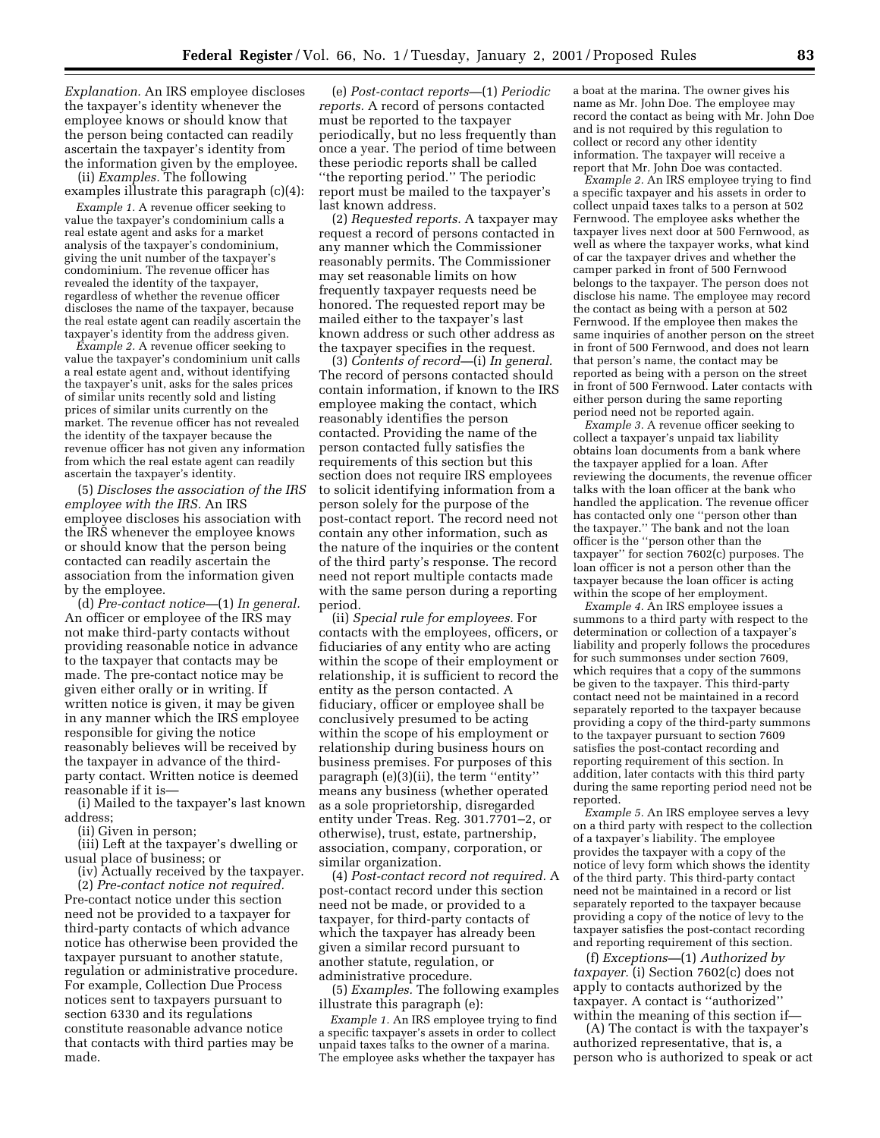*Explanation.* An IRS employee discloses the taxpayer's identity whenever the employee knows or should know that the person being contacted can readily ascertain the taxpayer's identity from the information given by the employee.

(ii) *Examples.* The following examples illustrate this paragraph (c)(4):

*Example 1.* A revenue officer seeking to value the taxpayer's condominium calls a real estate agent and asks for a market analysis of the taxpayer's condominium, giving the unit number of the taxpayer's condominium. The revenue officer has revealed the identity of the taxpayer, regardless of whether the revenue officer discloses the name of the taxpayer, because the real estate agent can readily ascertain the taxpayer's identity from the address given.

*Example 2.* A revenue officer seeking to value the taxpayer's condominium unit calls a real estate agent and, without identifying the taxpayer's unit, asks for the sales prices of similar units recently sold and listing prices of similar units currently on the market. The revenue officer has not revealed the identity of the taxpayer because the revenue officer has not given any information from which the real estate agent can readily ascertain the taxpayer's identity.

(5) *Discloses the association of the IRS employee with the IRS.* An IRS employee discloses his association with the IRS whenever the employee knows or should know that the person being contacted can readily ascertain the association from the information given by the employee.

(d) *Pre-contact notice—*(1) *In general.*  An officer or employee of the IRS may not make third-party contacts without providing reasonable notice in advance to the taxpayer that contacts may be made. The pre-contact notice may be given either orally or in writing. If written notice is given, it may be given in any manner which the IRS employee responsible for giving the notice reasonably believes will be received by the taxpayer in advance of the thirdparty contact. Written notice is deemed reasonable if it is—

(i) Mailed to the taxpayer's last known address;

(ii) Given in person;

(iii) Left at the taxpayer's dwelling or usual place of business; or

(iv) Actually received by the taxpayer. (2) *Pre-contact notice not required.*  Pre-contact notice under this section need not be provided to a taxpayer for third-party contacts of which advance notice has otherwise been provided the taxpayer pursuant to another statute, regulation or administrative procedure. For example, Collection Due Process notices sent to taxpayers pursuant to section 6330 and its regulations constitute reasonable advance notice that contacts with third parties may be made.

(e) *Post-contact reports—*(1) *Periodic reports.* A record of persons contacted must be reported to the taxpayer periodically, but no less frequently than once a year. The period of time between these periodic reports shall be called ''the reporting period.'' The periodic report must be mailed to the taxpayer's last known address.

(2) *Requested reports.* A taxpayer may request a record of persons contacted in any manner which the Commissioner reasonably permits. The Commissioner may set reasonable limits on how frequently taxpayer requests need be honored. The requested report may be mailed either to the taxpayer's last known address or such other address as the taxpayer specifies in the request.

(3) *Contents of record—*(i) *In general.*  The record of persons contacted should contain information, if known to the IRS employee making the contact, which reasonably identifies the person contacted. Providing the name of the person contacted fully satisfies the requirements of this section but this section does not require IRS employees to solicit identifying information from a person solely for the purpose of the post-contact report. The record need not contain any other information, such as the nature of the inquiries or the content of the third party's response. The record need not report multiple contacts made with the same person during a reporting period.

(ii) *Special rule for employees.* For contacts with the employees, officers, or fiduciaries of any entity who are acting within the scope of their employment or relationship, it is sufficient to record the entity as the person contacted. A fiduciary, officer or employee shall be conclusively presumed to be acting within the scope of his employment or relationship during business hours on business premises. For purposes of this paragraph (e)(3)(ii), the term ''entity'' means any business (whether operated as a sole proprietorship, disregarded entity under Treas. Reg. 301.7701–2, or otherwise), trust, estate, partnership, association, company, corporation, or similar organization.

(4) *Post-contact record not required.* A post-contact record under this section need not be made, or provided to a taxpayer, for third-party contacts of which the taxpayer has already been given a similar record pursuant to another statute, regulation, or administrative procedure.

(5) *Examples.* The following examples illustrate this paragraph (e):

*Example 1.* An IRS employee trying to find a specific taxpayer's assets in order to collect unpaid taxes talks to the owner of a marina. The employee asks whether the taxpayer has

a boat at the marina. The owner gives his name as Mr. John Doe. The employee may record the contact as being with Mr. John Doe and is not required by this regulation to collect or record any other identity information. The taxpayer will receive a report that Mr. John Doe was contacted.

*Example 2.* An IRS employee trying to find a specific taxpayer and his assets in order to collect unpaid taxes talks to a person at 502 Fernwood. The employee asks whether the taxpayer lives next door at 500 Fernwood, as well as where the taxpayer works, what kind of car the taxpayer drives and whether the camper parked in front of 500 Fernwood belongs to the taxpayer. The person does not disclose his name. The employee may record the contact as being with a person at 502 Fernwood. If the employee then makes the same inquiries of another person on the street in front of 500 Fernwood, and does not learn that person's name, the contact may be reported as being with a person on the street in front of 500 Fernwood. Later contacts with either person during the same reporting period need not be reported again.

*Example 3.* A revenue officer seeking to collect a taxpayer's unpaid tax liability obtains loan documents from a bank where the taxpayer applied for a loan. After reviewing the documents, the revenue officer talks with the loan officer at the bank who handled the application. The revenue officer has contacted only one ''person other than the taxpayer.'' The bank and not the loan officer is the ''person other than the taxpayer'' for section 7602(c) purposes. The loan officer is not a person other than the taxpayer because the loan officer is acting within the scope of her employment.

*Example 4.* An IRS employee issues a summons to a third party with respect to the determination or collection of a taxpayer's liability and properly follows the procedures for such summonses under section 7609, which requires that a copy of the summons be given to the taxpayer. This third-party contact need not be maintained in a record separately reported to the taxpayer because providing a copy of the third-party summons to the taxpayer pursuant to section 7609 satisfies the post-contact recording and reporting requirement of this section. In addition, later contacts with this third party during the same reporting period need not be reported.

*Example 5.* An IRS employee serves a levy on a third party with respect to the collection of a taxpayer's liability. The employee provides the taxpayer with a copy of the notice of levy form which shows the identity of the third party. This third-party contact need not be maintained in a record or list separately reported to the taxpayer because providing a copy of the notice of levy to the taxpayer satisfies the post-contact recording and reporting requirement of this section.

(f) *Exceptions—*(1) *Authorized by taxpayer.* (i) Section 7602(c) does not apply to contacts authorized by the taxpayer. A contact is ''authorized'' within the meaning of this section if—

(A) The contact is with the taxpayer's authorized representative, that is, a person who is authorized to speak or act